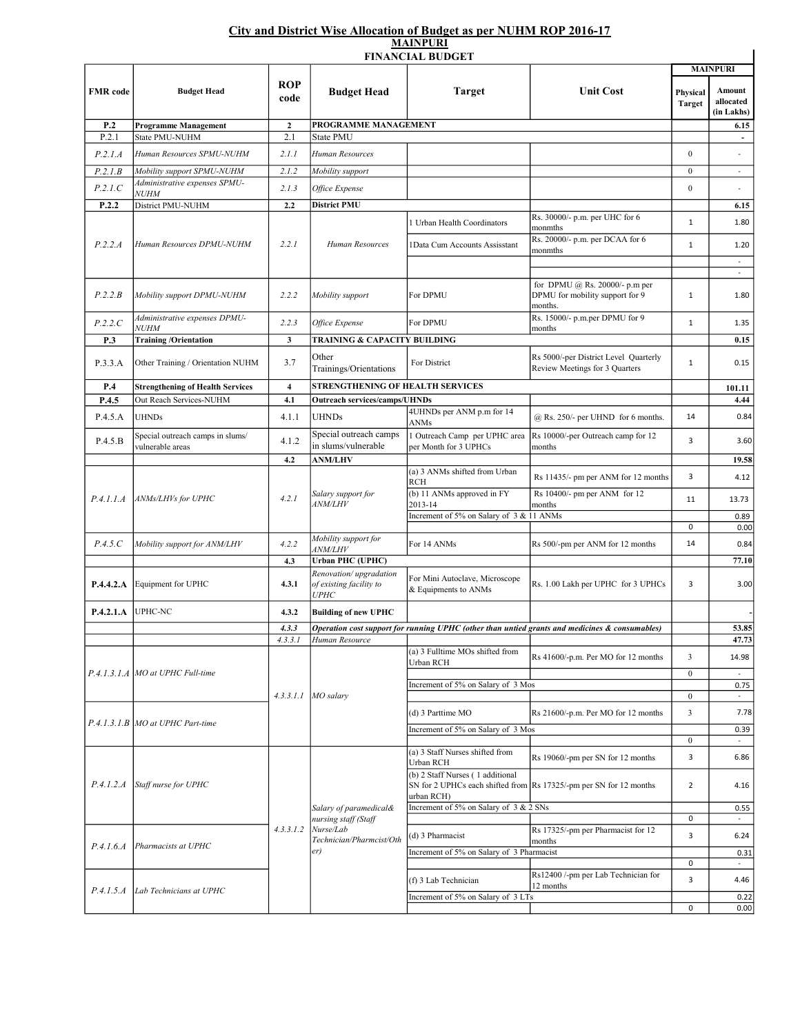## City and District Wise Allocation of Budget as per NUHM ROP 2016-17 MAINPURI

|                  |                                                             |                         |                                                                                                | вими ски<br><b>FINANCIAL BUDGET</b>                                                            |                                                                              |                           |                                          |
|------------------|-------------------------------------------------------------|-------------------------|------------------------------------------------------------------------------------------------|------------------------------------------------------------------------------------------------|------------------------------------------------------------------------------|---------------------------|------------------------------------------|
|                  |                                                             |                         |                                                                                                |                                                                                                |                                                                              | <b>MAINPURI</b>           |                                          |
| <b>FMR</b> code  | <b>Budget Head</b>                                          | ROP<br>code             | <b>Budget Head</b>                                                                             | <b>Target</b>                                                                                  | <b>Unit Cost</b>                                                             | Physical<br><b>Target</b> | <b>Amount</b><br>allocated<br>(in Lakhs) |
| P.2              | <b>Programme Management</b>                                 | $\mathbf{2}$            | PROGRAMME MANAGEMENT                                                                           |                                                                                                | 6.15                                                                         |                           |                                          |
| P.2.1            | State PMU-NUHM                                              | 2.1                     | <b>State PMU</b>                                                                               |                                                                                                |                                                                              |                           |                                          |
| P.2.1.A          | Human Resources SPMU-NUHM                                   | 2.1.1                   | Human Resources                                                                                |                                                                                                |                                                                              | $\Omega$                  | ÷,                                       |
| P.2.1.B          | Mobility support SPMU-NUHM                                  | 2.1.2                   | Mobility support                                                                               |                                                                                                |                                                                              | $\mathbf{0}$              | $\overline{\phantom{a}}$                 |
| P.2.1.C          | Administrative expenses SPMU-<br><b>NUHM</b>                | 2.1.3                   | Office Expense                                                                                 |                                                                                                |                                                                              | $\boldsymbol{0}$          |                                          |
| P.2.2            | District PMU-NUHM                                           | 2.2                     | <b>District PMU</b>                                                                            |                                                                                                |                                                                              |                           | 6.15                                     |
| P.2.2.A          | Human Resources DPMU-NUHM                                   | 2.2.1                   | Human Resources                                                                                | 1 Urban Health Coordinators                                                                    | Rs. 30000/- p.m. per UHC for 6<br>monmths<br>Rs. 20000/- p.m. per DCAA for 6 | $\mathbf{1}$              | 1.80                                     |
|                  |                                                             |                         |                                                                                                | <b>IData Cum Accounts Assisstant</b>                                                           | monmths                                                                      | $\mathbf{1}$              | 1.20<br>$\omega$                         |
|                  |                                                             |                         |                                                                                                |                                                                                                | for DPMU @ Rs. 20000/- p.m per                                               | $\mathbf{1}$              | $\overline{\phantom{a}}$<br>1.80         |
| P.2.2.B          | Mobility support DPMU-NUHM<br>Administrative expenses DPMU- | 2.2.2                   | Mobility support                                                                               | For DPMU                                                                                       | DPMU for mobility support for 9<br>months.<br>Rs. 15000/- p.m.per DPMU for 9 |                           |                                          |
| P.2.2.C          | <b>NUHM</b>                                                 | 2.2.3                   | Office Expense                                                                                 | For DPMU                                                                                       | months                                                                       | $\mathbf{1}$              | 1.35                                     |
| P.3              | <b>Training/Orientation</b>                                 | $\mathbf{3}$            | TRAINING & CAPACITY BUILDING                                                                   |                                                                                                |                                                                              |                           | 0.15                                     |
| P.3.3.A          | Other Training / Orientation NUHM                           | 3.7                     | Other<br>Trainings/Orientations                                                                | For District                                                                                   | Rs 5000/-per District Level Quarterly<br>Review Meetings for 3 Quarters      | $\mathbf{1}$              | 0.15                                     |
| P.4              | <b>Strengthening of Health Services</b>                     | $\overline{\mathbf{4}}$ | <b>STRENGTHENING OF HEALTH SERVICES</b>                                                        |                                                                                                |                                                                              |                           | 101.11                                   |
| P.4.5            | Out Reach Services-NUHM                                     | 4.1                     | <b>Outreach services/camps/UHNDs</b>                                                           |                                                                                                |                                                                              |                           | 4.44                                     |
| P.4.5.A          | <b>UHNDs</b>                                                | 4.1.1                   | <b>UHNDs</b>                                                                                   | 4UHNDs per ANM p.m for 14<br>ANMs                                                              | $(a)$ Rs. 250/- per UHND for 6 months.                                       | 14                        | 0.84                                     |
| P.4.5.B          | Special outreach camps in slums/<br>vulnerable areas        | 4.1.2                   | Special outreach camps<br>in slums/vulnerable                                                  | 1 Outreach Camp per UPHC area<br>per Month for 3 UPHCs                                         | Rs 10000/-per Outreach camp for 12<br>months                                 | 3                         | 3.60                                     |
|                  | P.4.1.1.A   ANMs/LHVs for UPHC                              | 4.2<br>4.2.1            | <b>ANM/LHV</b><br>Salary support for<br><i>ANM/LHV</i>                                         | (a) 3 ANMs shifted from Urban                                                                  |                                                                              |                           | 19.58                                    |
|                  |                                                             |                         |                                                                                                | <b>RCH</b><br>(b) 11 ANMs approved in FY                                                       | Rs 11435/- pm per ANM for 12 months<br>Rs 10400/- pm per ANM for 12          | 3                         | 4.12                                     |
|                  |                                                             |                         |                                                                                                | 2013-14                                                                                        | months                                                                       | 11                        | 13.73                                    |
|                  |                                                             |                         |                                                                                                | Increment of 5% on Salary of 3 & 11 ANMs                                                       |                                                                              | 0                         | 0.89<br>0.00                             |
| P.4.5.C          | Mobility support for ANM/LHV                                | 4.2.2                   | Mobility support for<br><i>ANM/LHV</i>                                                         | For 14 ANMs                                                                                    | Rs 500/-pm per ANM for 12 months                                             | 14                        | 0.84                                     |
|                  |                                                             | 4.3                     | <b>Urban PHC (UPHC)</b>                                                                        |                                                                                                |                                                                              |                           | 77.10                                    |
|                  | P.4.4.2.A Equipment for UPHC                                | 4.3.1                   | Renovation/upgradation<br>of existing facility to<br><b>UPHC</b>                               | For Mini Autoclave, Microscope<br>& Equipments to ANMs                                         | Rs. 1.00 Lakh per UPHC for 3 UPHCs                                           | 3                         | 3.00                                     |
| P.4.2.1.A        | <b>UPHC-NC</b>                                              | 4.3.2                   | <b>Building of new UPHC</b>                                                                    |                                                                                                |                                                                              |                           |                                          |
|                  |                                                             | 4.3.3                   |                                                                                                | Operation cost support for running UPHC (other than untied grants and medicines & consumables) |                                                                              |                           |                                          |
|                  | P.4.1.3.1.A MO at UPHC Full-time                            | 4.3.3.1<br>4.3.3.1.1    | Human Resource<br>MO salary                                                                    | (a) 3 Fulltime MOs shifted from<br>Urban RCH                                                   | Rs 41600/-p.m. Per MO for 12 months                                          | 3                         | 47.73<br>14.98                           |
|                  |                                                             |                         |                                                                                                |                                                                                                |                                                                              | $\boldsymbol{0}$          |                                          |
|                  |                                                             |                         |                                                                                                | Increment of 5% on Salary of 3 Mos                                                             |                                                                              | $\bf{0}$                  | 0.75<br>$\overline{\phantom{a}}$         |
|                  | P.4.1.3.1.B MO at UPHC Part-time                            |                         |                                                                                                | (d) 3 Parttime MO                                                                              | Rs 21600/-p.m. Per MO for 12 months                                          | 3                         | 7.78                                     |
|                  |                                                             |                         |                                                                                                | Increment of 5% on Salary of 3 Mos                                                             |                                                                              |                           | 0.39                                     |
|                  |                                                             |                         |                                                                                                | (a) 3 Staff Nurses shifted from                                                                |                                                                              | $\bf{0}$                  |                                          |
|                  | P.4.1.2.A Staff nurse for UPHC                              | 4.3.3.1.2               | Salary of paramedical&<br>nursing staff (Staff<br>Nurse/Lab<br>Technician/Pharmcist/Oth<br>er) | Urban RCH<br>(b) 2 Staff Nurses (1 additional                                                  | Rs 19060/-pm per SN for 12 months                                            | 3                         | 6.86                                     |
|                  |                                                             |                         |                                                                                                | urban RCH)                                                                                     | SN for 2 UPHCs each shifted from Rs 17325/-pm per SN for 12 months           | $\overline{2}$            | 4.16                                     |
|                  |                                                             |                         |                                                                                                | Increment of 5% on Salary of 3 & 2 SNs                                                         |                                                                              | $\pmb{0}$                 | 0.55<br>$\Box$                           |
| P.4.1.6.4        | Pharmacists at UPHC                                         |                         |                                                                                                | (d) 3 Pharmacist                                                                               | Rs 17325/-pm per Pharmacist for 12<br>months                                 | 3                         | 6.24                                     |
|                  |                                                             |                         |                                                                                                | Increment of 5% on Salary of 3 Pharmacist                                                      |                                                                              |                           | 0.31                                     |
| <i>P.4.1.5.A</i> | Lab Technicians at UPHC                                     |                         |                                                                                                | (f) 3 Lab Technician                                                                           | Rs12400 /-pm per Lab Technician for<br>12 months                             | $\pmb{0}$<br>3            | $\sim$<br>4.46                           |
|                  |                                                             |                         |                                                                                                | Increment of 5% on Salary of 3 LTs                                                             |                                                                              |                           | 0.22                                     |
|                  |                                                             |                         |                                                                                                |                                                                                                |                                                                              | 0                         | 0.00                                     |